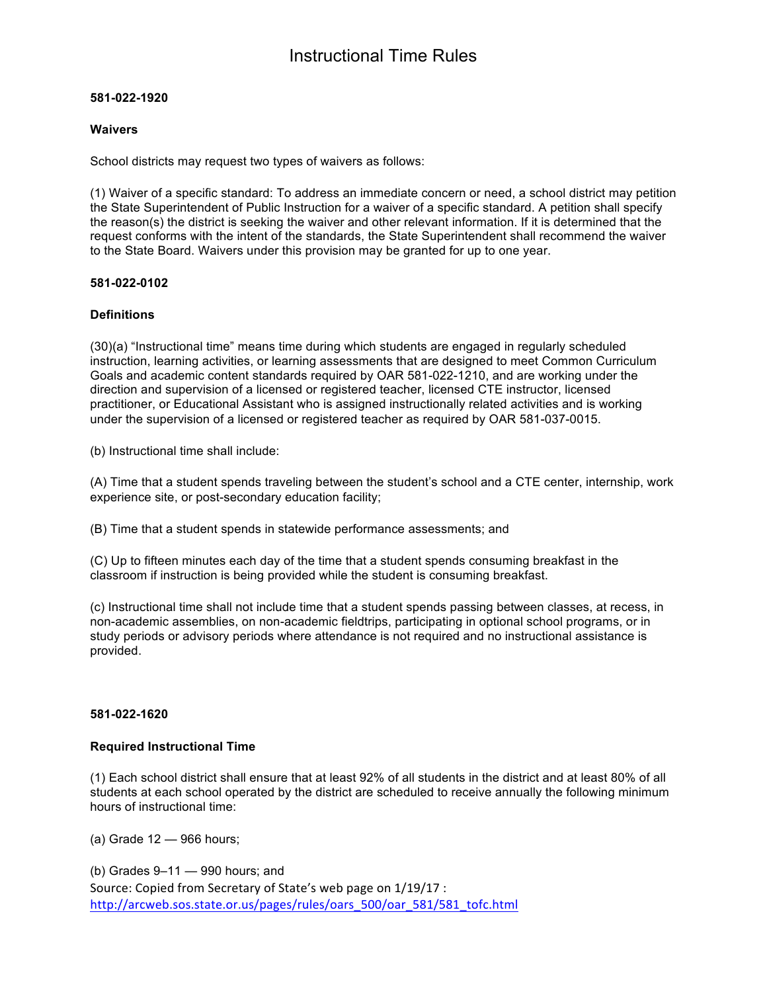# **581-022-1920**

# **Waivers**

School districts may request two types of waivers as follows:

(1) Waiver of a specific standard: To address an immediate concern or need, a school district may petition the State Superintendent of Public Instruction for a waiver of a specific standard. A petition shall specify the reason(s) the district is seeking the waiver and other relevant information. If it is determined that the request conforms with the intent of the standards, the State Superintendent shall recommend the waiver to the State Board. Waivers under this provision may be granted for up to one year.

# **581-022-0102**

# **Definitions**

(30)(a) "Instructional time" means time during which students are engaged in regularly scheduled instruction, learning activities, or learning assessments that are designed to meet Common Curriculum Goals and academic content standards required by OAR 581-022-1210, and are working under the direction and supervision of a licensed or registered teacher, licensed CTE instructor, licensed practitioner, or Educational Assistant who is assigned instructionally related activities and is working under the supervision of a licensed or registered teacher as required by OAR 581-037-0015.

(b) Instructional time shall include:

(A) Time that a student spends traveling between the student's school and a CTE center, internship, work experience site, or post-secondary education facility;

(B) Time that a student spends in statewide performance assessments; and

(C) Up to fifteen minutes each day of the time that a student spends consuming breakfast in the classroom if instruction is being provided while the student is consuming breakfast.

(c) Instructional time shall not include time that a student spends passing between classes, at recess, in non-academic assemblies, on non-academic fieldtrips, participating in optional school programs, or in study periods or advisory periods where attendance is not required and no instructional assistance is provided.

#### **581-022-1620**

#### **Required Instructional Time**

(1) Each school district shall ensure that at least 92% of all students in the district and at least 80% of all students at each school operated by the district are scheduled to receive annually the following minimum hours of instructional time:

(a) Grade 12 — 966 hours;

Source: Copied from Secretary of State's web page on  $1/19/17$ : http://arcweb.sos.state.or.us/pages/rules/oars\_500/oar\_581/581\_tofc.html (b) Grades 9–11 — 990 hours; and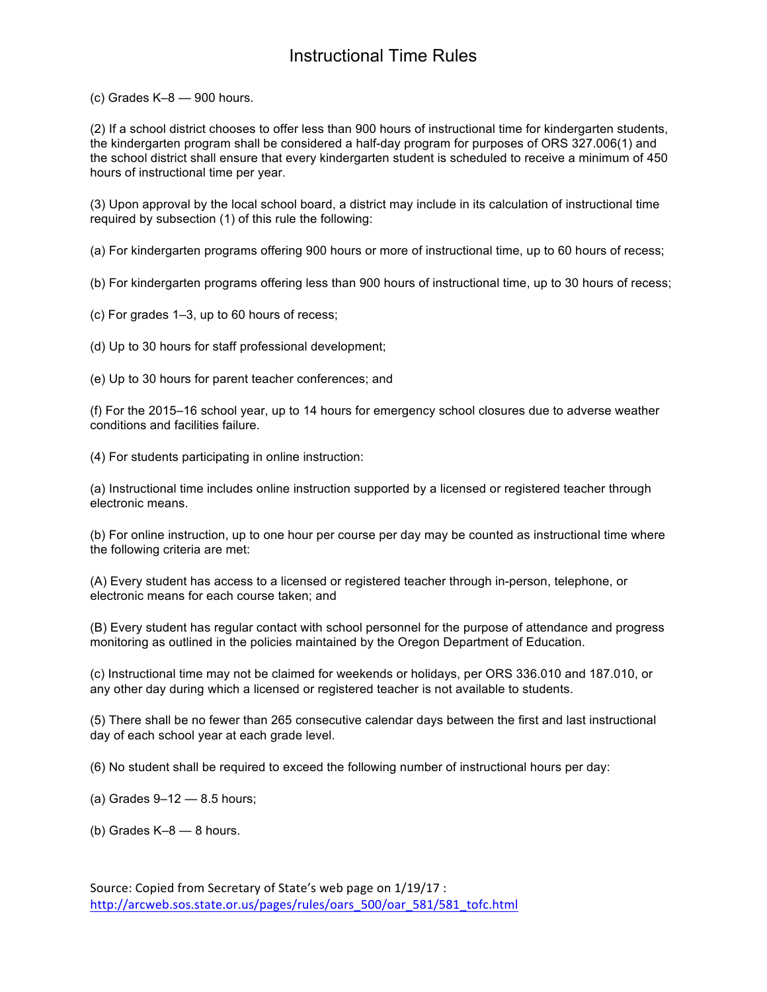(c) Grades K–8 — 900 hours.

(2) If a school district chooses to offer less than 900 hours of instructional time for kindergarten students, the kindergarten program shall be considered a half-day program for purposes of ORS 327.006(1) and the school district shall ensure that every kindergarten student is scheduled to receive a minimum of 450 hours of instructional time per year.

(3) Upon approval by the local school board, a district may include in its calculation of instructional time required by subsection (1) of this rule the following:

(a) For kindergarten programs offering 900 hours or more of instructional time, up to 60 hours of recess;

(b) For kindergarten programs offering less than 900 hours of instructional time, up to 30 hours of recess;

(c) For grades 1–3, up to 60 hours of recess;

(d) Up to 30 hours for staff professional development;

(e) Up to 30 hours for parent teacher conferences; and

(f) For the 2015–16 school year, up to 14 hours for emergency school closures due to adverse weather conditions and facilities failure.

(4) For students participating in online instruction:

(a) Instructional time includes online instruction supported by a licensed or registered teacher through electronic means.

(b) For online instruction, up to one hour per course per day may be counted as instructional time where the following criteria are met:

(A) Every student has access to a licensed or registered teacher through in-person, telephone, or electronic means for each course taken; and

(B) Every student has regular contact with school personnel for the purpose of attendance and progress monitoring as outlined in the policies maintained by the Oregon Department of Education.

(c) Instructional time may not be claimed for weekends or holidays, per ORS 336.010 and 187.010, or any other day during which a licensed or registered teacher is not available to students.

(5) There shall be no fewer than 265 consecutive calendar days between the first and last instructional day of each school year at each grade level.

(6) No student shall be required to exceed the following number of instructional hours per day:

(a) Grades  $9-12 - 8.5$  hours;

(b) Grades  $K-8$  - 8 hours.

Source: Copied from Secretary of State's web page on  $1/19/17$ : http://arcweb.sos.state.or.us/pages/rules/oars\_500/oar\_581/581\_tofc.html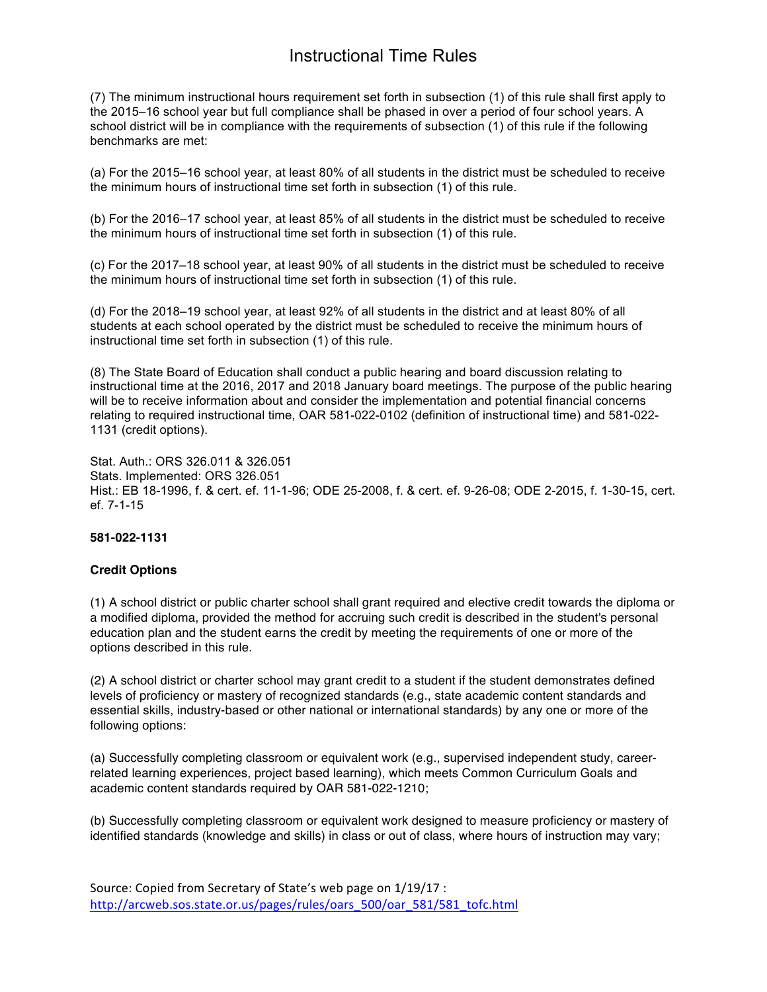# Instructional Time Rules

(7) The minimum instructional hours requirement set forth in subsection (1) of this rule shall first apply to the 2015–16 school year but full compliance shall be phased in over a period of four school years. A school district will be in compliance with the requirements of subsection (1) of this rule if the following benchmarks are met:

(a) For the 2015–16 school year, at least 80% of all students in the district must be scheduled to receive the minimum hours of instructional time set forth in subsection (1) of this rule.

(b) For the 2016–17 school year, at least 85% of all students in the district must be scheduled to receive the minimum hours of instructional time set forth in subsection (1) of this rule.

(c) For the 2017–18 school year, at least 90% of all students in the district must be scheduled to receive the minimum hours of instructional time set forth in subsection (1) of this rule.

(d) For the 2018–19 school year, at least 92% of all students in the district and at least 80% of all students at each school operated by the district must be scheduled to receive the minimum hours of instructional time set forth in subsection (1) of this rule.

(8) The State Board of Education shall conduct a public hearing and board discussion relating to instructional time at the 2016, 2017 and 2018 January board meetings. The purpose of the public hearing will be to receive information about and consider the implementation and potential financial concerns relating to required instructional time, OAR 581-022-0102 (definition of instructional time) and 581-022- 1131 (credit options).

Stat. Auth.: ORS 326.011 & 326.051 Stats. Implemented: ORS 326.051 Hist.: EB 18-1996, f. & cert. ef. 11-1-96; ODE 25-2008, f. & cert. ef. 9-26-08; ODE 2-2015, f. 1-30-15, cert. ef. 7-1-15

#### **581-022-1131**

#### **Credit Options**

(1) A school district or public charter school shall grant required and elective credit towards the diploma or a modified diploma, provided the method for accruing such credit is described in the student's personal education plan and the student earns the credit by meeting the requirements of one or more of the options described in this rule.

(2) A school district or charter school may grant credit to a student if the student demonstrates defined levels of proficiency or mastery of recognized standards (e.g., state academic content standards and essential skills, industry-based or other national or international standards) by any one or more of the following options:

(a) Successfully completing classroom or equivalent work (e.g., supervised independent study, careerrelated learning experiences, project based learning), which meets Common Curriculum Goals and academic content standards required by OAR 581-022-1210;

(b) Successfully completing classroom or equivalent work designed to measure proficiency or mastery of identified standards (knowledge and skills) in class or out of class, where hours of instruction may vary;

Source: Copied from Secretary of State's web page on  $1/19/17$ : http://arcweb.sos.state.or.us/pages/rules/oars\_500/oar\_581/581\_tofc.html